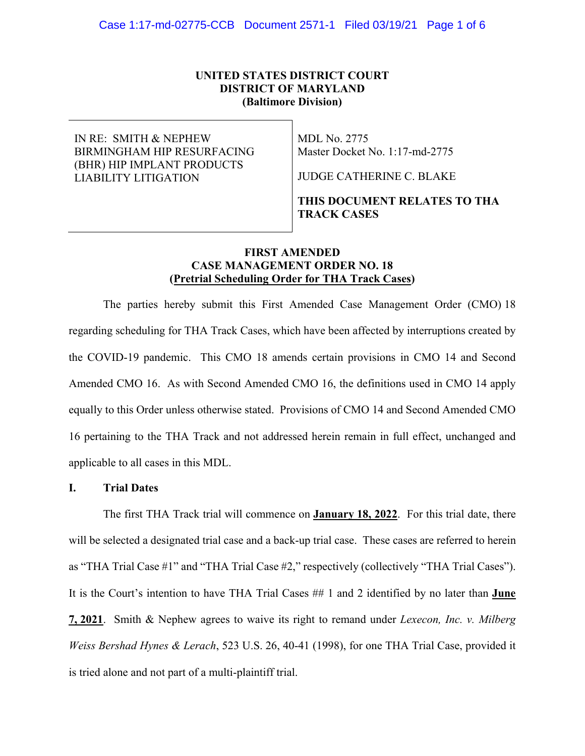### **UNITED STATES DISTRICT COURT DISTRICT OF MARYLAND (Baltimore Division)**

IN RE: SMITH & NEPHEW BIRMINGHAM HIP RESURFACING (BHR) HIP IMPLANT PRODUCTS LIABILITY LITIGATION

MDL No. 2775 Master Docket No. 1:17-md-2775

JUDGE CATHERINE C. BLAKE

# **THIS DOCUMENT RELATES TO THA TRACK CASES**

# **FIRST AMENDED CASE MANAGEMENT ORDER NO. 18 (Pretrial Scheduling Order for THA Track Cases)**

The parties hereby submit this First Amended Case Management Order (CMO) 18 regarding scheduling for THA Track Cases, which have been affected by interruptions created by the COVID-19 pandemic. This CMO 18 amends certain provisions in CMO 14 and Second Amended CMO 16. As with Second Amended CMO 16, the definitions used in CMO 14 apply equally to this Order unless otherwise stated. Provisions of CMO 14 and Second Amended CMO 16 pertaining to the THA Track and not addressed herein remain in full effect, unchanged and applicable to all cases in this MDL.

#### **I. Trial Dates**

The first THA Track trial will commence on **January 18, 2022**. For this trial date, there will be selected a designated trial case and a back-up trial case. These cases are referred to herein as "THA Trial Case #1" and "THA Trial Case #2," respectively (collectively "THA Trial Cases"). It is the Court's intention to have THA Trial Cases ## 1 and 2 identified by no later than **June 7, 2021**. Smith & Nephew agrees to waive its right to remand under *Lexecon, Inc. v. Milberg Weiss Bershad Hynes & Lerach*, 523 U.S. 26, 40-41 (1998), for one THA Trial Case, provided it is tried alone and not part of a multi-plaintiff trial.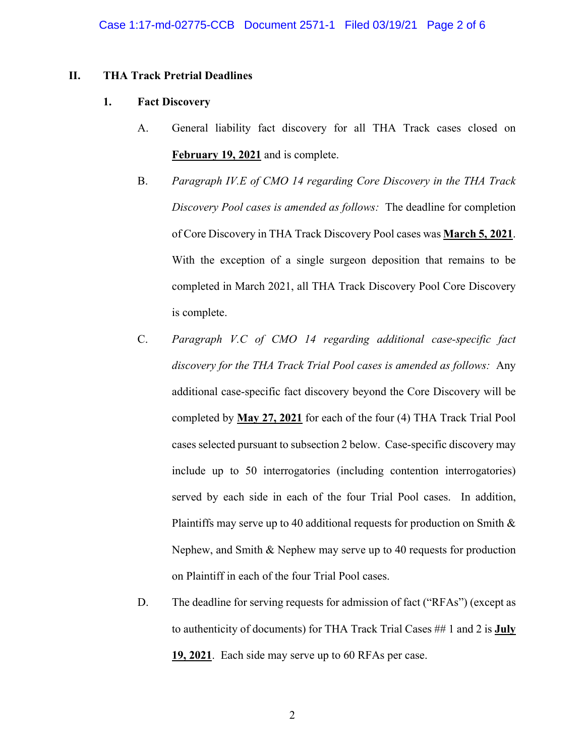# **II. THA Track Pretrial Deadlines**

# **1. Fact Discovery**

- A. General liability fact discovery for all THA Track cases closed on **February 19, 2021** and is complete.
- B. *Paragraph IV.E of CMO 14 regarding Core Discovery in the THA Track Discovery Pool cases is amended as follows:* The deadline for completion of Core Discovery in THA Track Discovery Pool cases was **March 5, 2021**. With the exception of a single surgeon deposition that remains to be completed in March 2021, all THA Track Discovery Pool Core Discovery is complete.
- C. *Paragraph V.C of CMO 14 regarding additional case-specific fact discovery for the THA Track Trial Pool cases is amended as follows:* Any additional case-specific fact discovery beyond the Core Discovery will be completed by **May 27, 2021** for each of the four (4) THA Track Trial Pool cases selected pursuant to subsection 2 below. Case-specific discovery may include up to 50 interrogatories (including contention interrogatories) served by each side in each of the four Trial Pool cases. In addition, Plaintiffs may serve up to 40 additional requests for production on Smith & Nephew, and Smith & Nephew may serve up to 40 requests for production on Plaintiff in each of the four Trial Pool cases.
- D. The deadline for serving requests for admission of fact ("RFAs") (except as to authenticity of documents) for THA Track Trial Cases ## 1 and 2 is **July 19, 2021**. Each side may serve up to 60 RFAs per case.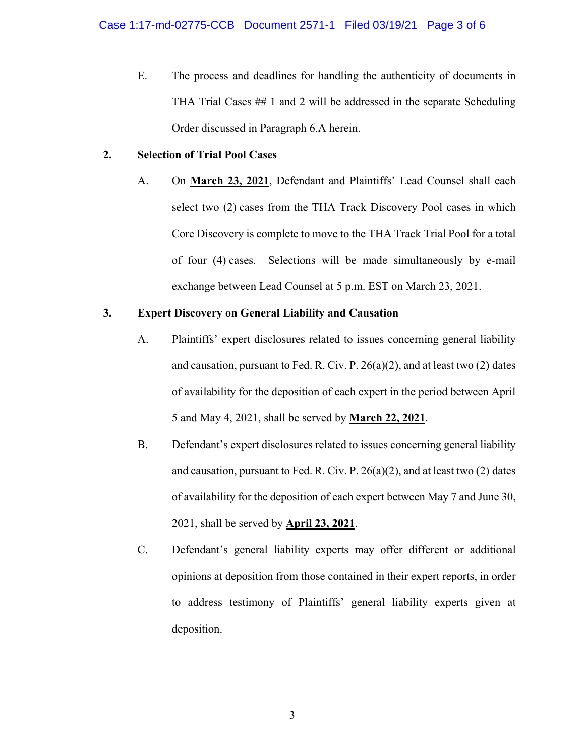E. The process and deadlines for handling the authenticity of documents in THA Trial Cases ## 1 and 2 will be addressed in the separate Scheduling Order discussed in Paragraph 6.A herein.

# **2. Selection of Trial Pool Cases**

A. On **March 23, 2021**, Defendant and Plaintiffs' Lead Counsel shall each select two (2) cases from the THA Track Discovery Pool cases in which Core Discovery is complete to move to the THA Track Trial Pool for a total of four (4) cases. Selections will be made simultaneously by e-mail exchange between Lead Counsel at 5 p.m. EST on March 23, 2021.

# **3. Expert Discovery on General Liability and Causation**

- A. Plaintiffs' expert disclosures related to issues concerning general liability and causation, pursuant to Fed. R. Civ. P.  $26(a)(2)$ , and at least two  $(2)$  dates of availability for the deposition of each expert in the period between April 5 and May 4, 2021, shall be served by **March 22, 2021**.
- B. Defendant's expert disclosures related to issues concerning general liability and causation, pursuant to Fed. R. Civ. P. 26(a)(2), and at least two (2) dates of availability for the deposition of each expert between May 7 and June 30, 2021, shall be served by **April 23, 2021**.
- C. Defendant's general liability experts may offer different or additional opinions at deposition from those contained in their expert reports, in order to address testimony of Plaintiffs' general liability experts given at deposition.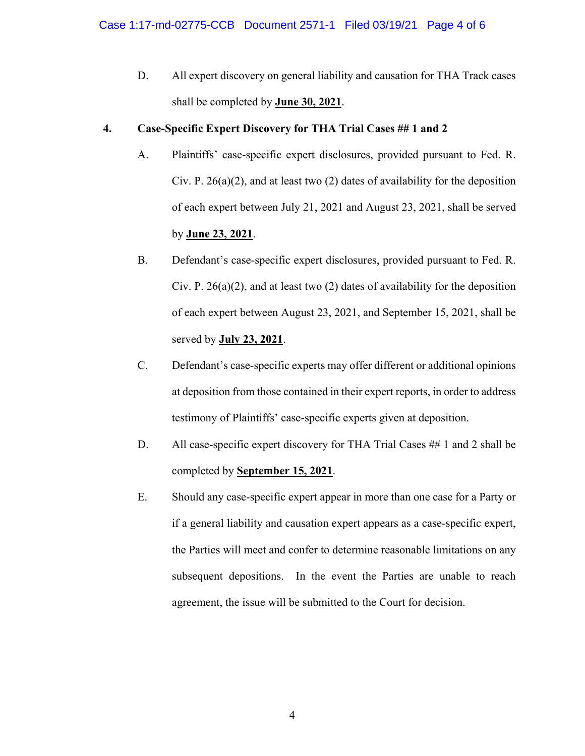D. All expert discovery on general liability and causation for THA Track cases shall be completed by **June 30, 2021**.

# **4. Case-Specific Expert Discovery for THA Trial Cases ## 1 and 2**

- A. Plaintiffs' case-specific expert disclosures, provided pursuant to Fed. R. Civ. P.  $26(a)(2)$ , and at least two  $(2)$  dates of availability for the deposition of each expert between July 21, 2021 and August 23, 2021, shall be served by **June 23, 2021**.
- B. Defendant's case-specific expert disclosures, provided pursuant to Fed. R. Civ. P.  $26(a)(2)$ , and at least two  $(2)$  dates of availability for the deposition of each expert between August 23, 2021, and September 15, 2021, shall be served by **July 23, 2021**.
- C. Defendant's case-specific experts may offer different or additional opinions at deposition from those contained in their expert reports, in order to address testimony of Plaintiffs' case-specific experts given at deposition.
- D. All case-specific expert discovery for THA Trial Cases ## 1 and 2 shall be completed by **September 15, 2021**.
- E. Should any case-specific expert appear in more than one case for a Party or if a general liability and causation expert appears as a case-specific expert, the Parties will meet and confer to determine reasonable limitations on any subsequent depositions. In the event the Parties are unable to reach agreement, the issue will be submitted to the Court for decision.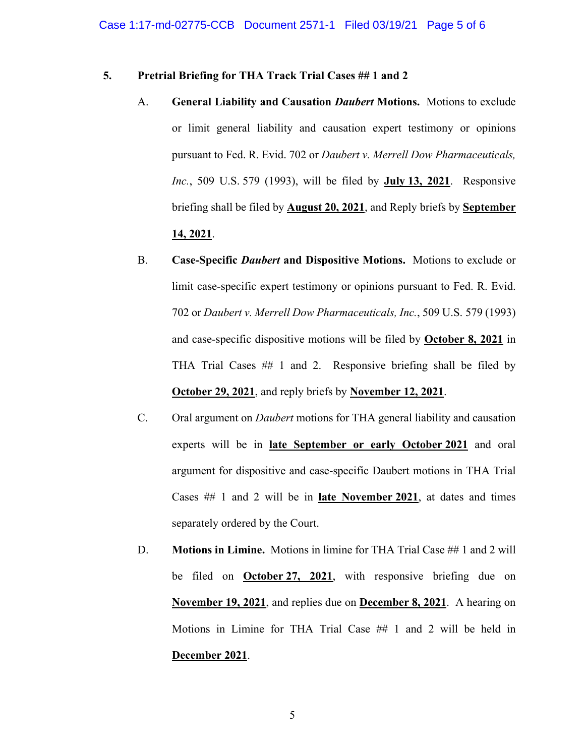#### **5. Pretrial Briefing for THA Track Trial Cases ## 1 and 2**

- A. **General Liability and Causation** *Daubert* **Motions.** Motions to exclude or limit general liability and causation expert testimony or opinions pursuant to Fed. R. Evid. 702 or *Daubert v. Merrell Dow Pharmaceuticals, Inc.*, 509 U.S. 579 (1993), will be filed by **July 13, 2021**. Responsive briefing shall be filed by **August 20, 2021**, and Reply briefs by **September 14, 2021**.
- B. **Case-Specific** *Daubert* **and Dispositive Motions.** Motions to exclude or limit case-specific expert testimony or opinions pursuant to Fed. R. Evid. 702 or *Daubert v. Merrell Dow Pharmaceuticals, Inc.*, 509 U.S. 579 (1993) and case-specific dispositive motions will be filed by **October 8, 2021** in THA Trial Cases ## 1 and 2. Responsive briefing shall be filed by **October 29, 2021**, and reply briefs by **November 12, 2021**.
- C. Oral argument on *Daubert* motions for THA general liability and causation experts will be in **late September or early October 2021** and oral argument for dispositive and case-specific Daubert motions in THA Trial Cases ## 1 and 2 will be in **late November 2021**, at dates and times separately ordered by the Court.
- D. **Motions in Limine.** Motions in limine for THA Trial Case ## 1 and 2 will be filed on **October 27, 2021**, with responsive briefing due on **November 19, 2021**, and replies due on **December 8, 2021**. A hearing on Motions in Limine for THA Trial Case ## 1 and 2 will be held in **December 2021**.